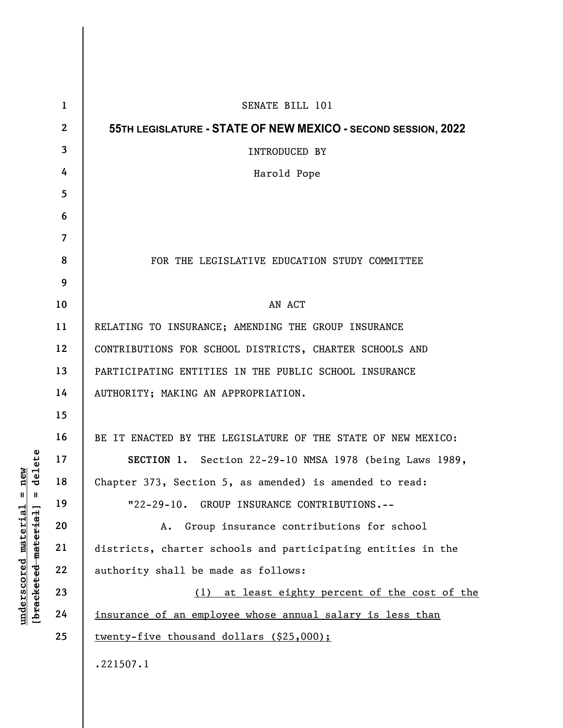| $\mathbf{1}$   | SENATE BILL 101                                               |
|----------------|---------------------------------------------------------------|
| $\mathbf{2}$   | 55TH LEGISLATURE - STATE OF NEW MEXICO - SECOND SESSION, 2022 |
| $\mathbf{3}$   | INTRODUCED BY                                                 |
| 4              | Harold Pope                                                   |
| 5              |                                                               |
| 6              |                                                               |
| $\overline{7}$ |                                                               |
| 8              | FOR THE LEGISLATIVE EDUCATION STUDY COMMITTEE                 |
| 9              |                                                               |
| 10             | AN ACT                                                        |
| 11             | RELATING TO INSURANCE; AMENDING THE GROUP INSURANCE           |
| 12             | CONTRIBUTIONS FOR SCHOOL DISTRICTS, CHARTER SCHOOLS AND       |
| 13             | PARTICIPATING ENTITIES IN THE PUBLIC SCHOOL INSURANCE         |
| 14             | AUTHORITY; MAKING AN APPROPRIATION.                           |
| 15             |                                                               |
| 16             | BE IT ENACTED BY THE LEGISLATURE OF THE STATE OF NEW MEXICO:  |
| 17             | SECTION 1. Section 22-29-10 NMSA 1978 (being Laws 1989,       |
| 18             | Chapter 373, Section 5, as amended) is amended to read:       |
| 19             | "22-29-10. GROUP INSURANCE CONTRIBUTIONS.--                   |
| 20             | Group insurance contributions for school<br>А.                |
| 21             | districts, charter schools and participating entities in the  |
| 22             | authority shall be made as follows:                           |
| 23             | at least eighty percent of the cost of the<br>(1)             |
| 24             | insurance of an employee whose annual salary is less than     |
| 25             | twenty-five thousand dollars (\$25,000);                      |
|                | .221507.1                                                     |
|                |                                                               |

 $\overline{\phantom{a}}$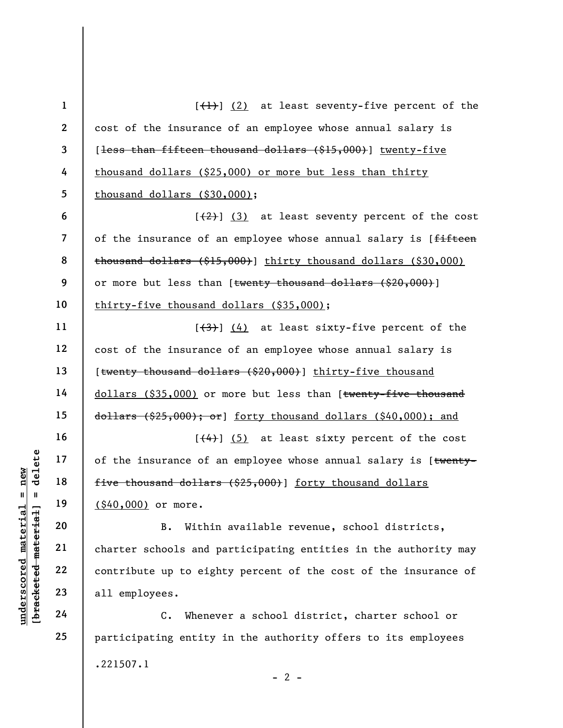|                                    | $\mathbf{1}$                                               | $\left[\frac{1}{1}\right]$ (2) at least seventy-five percent of the      |  |  |
|------------------------------------|------------------------------------------------------------|--------------------------------------------------------------------------|--|--|
|                                    | $\mathbf{2}$                                               | cost of the insurance of an employee whose annual salary is              |  |  |
|                                    | $\mathbf{3}$                                               | [ <del>less than fifteen thousand dollars (\$15,000)</del> ] twenty-five |  |  |
|                                    | 4                                                          | thousand dollars (\$25,000) or more but less than thirty                 |  |  |
|                                    | 5                                                          | thousand dollars (\$30,000);                                             |  |  |
|                                    | 6                                                          | $\left[\frac{2}{2}\right]$ (3) at least seventy percent of the cost      |  |  |
|                                    | $\overline{\mathcal{L}}$<br>8<br>9<br>10<br>11<br>12<br>13 | of the insurance of an employee whose annual salary is [fifteen          |  |  |
|                                    |                                                            | thousand dollars (\$15,000)] thirty thousand dollars (\$30,000)          |  |  |
|                                    |                                                            | or more but less than [ <del>twenty thousand dollars (\$20,000)</del> ]  |  |  |
|                                    |                                                            | thirty-five thousand dollars (\$35,000);                                 |  |  |
|                                    |                                                            | $\left[\frac{4}{3}\right]$ (4) at least sixty-five percent of the        |  |  |
|                                    |                                                            | cost of the insurance of an employee whose annual salary is              |  |  |
|                                    |                                                            | [ <del>twenty thousand dollars (\$20,000)</del> ] thirty-five thousand   |  |  |
|                                    | 14                                                         | dollars (\$35,000) or more but less than [twenty-five thousand           |  |  |
|                                    | 15<br>16                                                   | $d$ ollars (\$25,000); or] forty thousand dollars (\$40,000); and        |  |  |
|                                    |                                                            | $[$ $(4)$ ] $(5)$ at least sixty percent of the cost                     |  |  |
| delete                             | 17                                                         | of the insurance of an employee whose annual salary is [twenty-          |  |  |
| new<br>Ш.<br>- II                  | 18                                                         | five thousand dollars (\$25,000)] forty thousand dollars                 |  |  |
|                                    | 19                                                         | (\$40,000) or more.                                                      |  |  |
| materia                            | 20                                                         | Within available revenue, school districts,<br><b>B.</b>                 |  |  |
| [bracketed material<br>underscored | 21                                                         | charter schools and participating entities in the authority may          |  |  |
|                                    | 22                                                         | contribute up to eighty percent of the cost of the insurance of          |  |  |
|                                    | 23                                                         | all employees.                                                           |  |  |
|                                    | 24                                                         | Whenever a school district, charter school or<br>$\mathbf{c}$ .          |  |  |
|                                    | 25                                                         | participating entity in the authority offers to its employees            |  |  |

.221507.1

 $- 2 -$